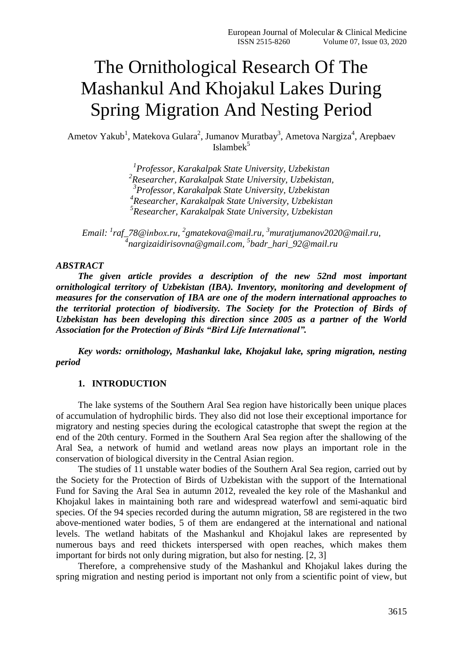# The Ornithological Research Of The Mashankul And Khojakul Lakes During Spring Migration And Nesting Period

Ametov Yakub<sup>1</sup>, Matekova Gulara<sup>2</sup>, Jumanov Muratbay<sup>3</sup>, Ametova Nargiza<sup>4</sup>, Arepbaev  $Islambek<sup>5</sup>$ 

> *Professor, Karakalpak State University, Uzbekistan Researcher, Karakalpak State University, Uzbekistan, Professor, Karakalpak State University, Uzbekistan Researcher, Karakalpak State University, Uzbekistan Researcher, Karakalpak State University, Uzbekistan*

*Email: <sup>1</sup> [raf\\_78@iпbох.rи,](mailto:raf_78@iпbох.rи) 2 [gmatekova@mail.ru,](mailto:gmatekova@mail.ru) <sup>3</sup>[muratjumanov2020@mail.ru,](mailto:muratjumanov2020@mail.ru) 4 [nargizaidirisovna@gmail.com,](mailto:nargizaidirisovna@gmail.com) 5 [badr\\_hari\\_92@mail.ru](mailto:badr_hari_92@mail.ru)*

#### *ABSTRACT*

*The given article provides a description of the new 52nd most important ornithological territory of Uzbekistan (IBA). Inventory, monitoring and development of measures for the conservation of IBA are one of the modern international approaches to the territorial protection of biodiversity. The Society for the Protection of Birds of Uzbekistan has been developing this direction since 2005 as a partner of the World Association for the Protection of Birds "Bird Life International".*

*Key words: ornithology, Mashankul lake, Khojakul lake, spring migration, nesting period*

### **1. INTRODUCTION**

The lake systems of the Southern Aral Sea region have historically been unique places of accumulation of hydrophilic birds. They also did not lose their exceptional importance for migratory and nesting species during the ecological catastrophe that swept the region at the end of the 20th century. Formed in the Southern Aral Sea region after the shallowing of the Aral Sea, a network of humid and wetland areas now plays an important role in the conservation of biological diversity in the Central Asian region.

The studies of 11 unstable water bodies of the Southern Aral Sea region, carried out by the Society for the Protection of Birds of Uzbekistan with the support of the International Fund for Saving the Aral Sea in autumn 2012, revealed the key role of the Mashankul and Khojakul lakes in maintaining both rare and widespread waterfowl and semi-aquatic bird species. Of the 94 species recorded during the autumn migration, 58 are registered in the two above-mentioned water bodies, 5 of them are endangered at the international and national levels. The wetland habitats of the Mashankul and Khojakul lakes are represented by numerous bays and reed thickets interspersed with open reaches, which makes them important for birds not only during migration, but also for nesting. [2, 3]

Therefore, a comprehensive study of the Mashankul and Khojakul lakes during the spring migration and nesting period is important not only from a scientific point of view, but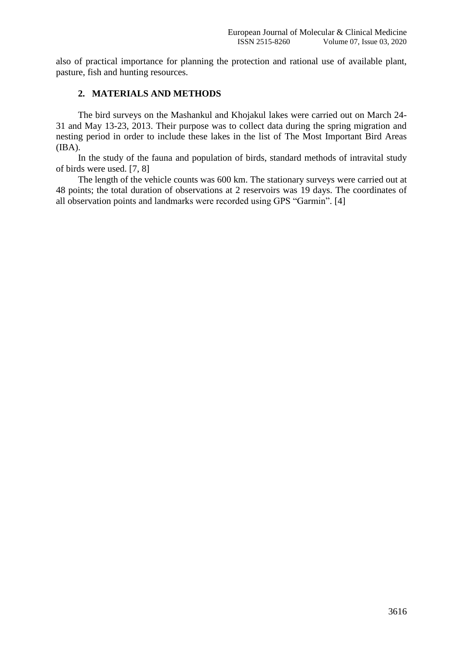also of practical importance for planning the protection and rational use of available plant, pasture, fish and hunting resources.

# **2. MATERIALS AND METHODS**

The bird surveys on the Mashankul and Khojakul lakes were carried out on March 24- 31 and May 13-23, 2013. Their purpose was to collect data during the spring migration and nesting period in order to include these lakes in the list of The Most Important Bird Areas (IBA).

In the study of the fauna and population of birds, standard methods of intravital study of birds were used. [7, 8]

The length of the vehicle counts was 600 km. The stationary surveys were carried out at 48 points; the total duration of observations at 2 reservoirs was 19 days. The coordinates of all observation points and landmarks were recorded using GPS "Garmin". [4]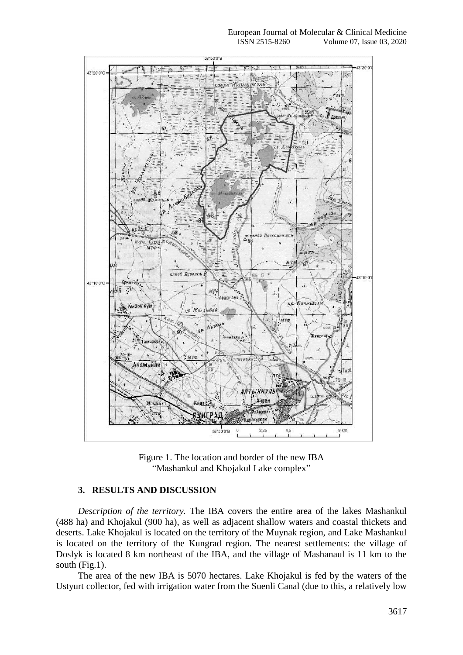

Figure 1. The location and border of the new IBA "Mashankul and Khojakul Lake complex"

## **3. RESULTS AND DISCUSSION**

*Description of the territory.* The IBA covers the entire area of the lakes Mashankul (488 ha) and Khojakul (900 ha), as well as adjacent shallow waters and coastal thickets and deserts. Lake Khojakul is located on the territory of the Muynak region, and Lake Mashankul is located on the territory of the Kungrad region. The nearest settlements: the village of Doslyk is located 8 km northeast of the IBA, and the village of Mashanaul is 11 km to the south (Fig.1).

The area of the new IBA is 5070 hectares. Lake Khojakul is fed by the waters of the Ustyurt collector, fed with irrigation water from the Suenli Canal (due to this, a relatively low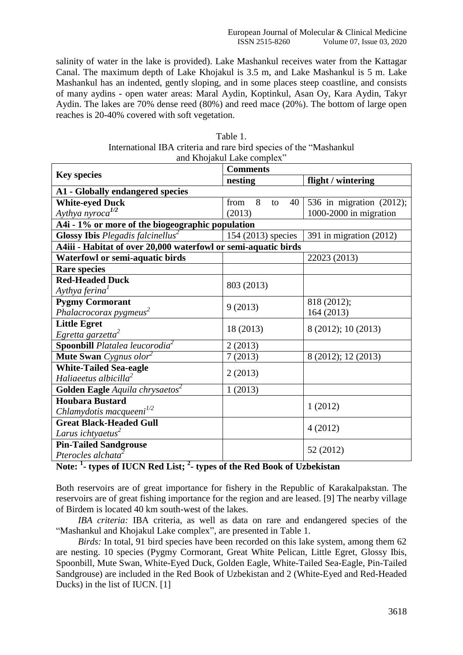salinity of water in the lake is provided). Lake Mashankul receives water from the Kattagar Canal. The maximum depth of Lake Khojakul is 3.5 m, and Lake Mashankul is 5 m. Lake Mashankul has an indented, gently sloping, and in some places steep coastline, and consists of many aydins - open water areas: Maral Aydin, Koptinkul, Asan Oy, Kara Aydin, Takyr Aydin. The lakes are 70% dense reed (80%) and reed mace (20%). The bottom of large open reaches is 20-40% covered with soft vegetation.

| Table 1.                                                            |
|---------------------------------------------------------------------|
| International IBA criteria and rare bird species of the "Mashankul" |
| and Khojakul Lake complex"                                          |

| and Knofakar Lake complex                                      |                       |                          |  |
|----------------------------------------------------------------|-----------------------|--------------------------|--|
| <b>Key species</b>                                             | <b>Comments</b>       |                          |  |
|                                                                | nesting               | flight / wintering       |  |
| <b>A1 - Globally endangered species</b>                        |                       |                          |  |
| <b>White-eyed Duck</b>                                         | 8<br>from<br>40<br>to | 536 in migration (2012); |  |
| Aythya nyroca <sup>1/2</sup>                                   | (2013)                | 1000-2000 in migration   |  |
| A4i - 1% or more of the biogeographic population               |                       |                          |  |
| <b>Glossy Ibis</b> Plegadis falcinellus <sup>2</sup>           | 154 (2013) species    | 391 in migration (2012)  |  |
| A4iii - Habitat of over 20,000 waterfowl or semi-aquatic birds |                       |                          |  |
| <b>Waterfowl or semi-aquatic birds</b>                         |                       | 22023 (2013)             |  |
| <b>Rare species</b>                                            |                       |                          |  |
| <b>Red-Headed Duck</b>                                         | 803 (2013)            |                          |  |
| Aythya ferina <sup>1</sup>                                     |                       |                          |  |
| <b>Pygmy Cormorant</b>                                         | 9(2013)               | 818 (2012);              |  |
| Phalacrocorax pygmeus <sup>2</sup>                             |                       | 164 (2013)               |  |
| <b>Little Egret</b>                                            | 18 (2013)             | 8 (2012); 10 (2013)      |  |
| Egretta garzetta <sup>2</sup>                                  |                       |                          |  |
| <b>Spoonbill</b> Platalea leucorodia $^2$                      | 2(2013)               |                          |  |
| <b>Mute Swan</b> Cygnus olor <sup>2</sup>                      | 7(2013)               | 8 (2012); 12 (2013)      |  |
| <b>White-Tailed Sea-eagle</b>                                  | 2(2013)               |                          |  |
| Haliaeetus albicilla $^2$                                      |                       |                          |  |
| Golden Eagle Aquila chrysaetos <sup>2</sup>                    | 1(2013)               |                          |  |
| <b>Houbara Bustard</b>                                         |                       | 1(2012)                  |  |
| Chlamydotis macqueeni <sup>1/2</sup>                           |                       |                          |  |
| <b>Great Black-Headed Gull</b>                                 |                       | 4(2012)                  |  |
| Larus ichtyaetus <sup>2</sup>                                  |                       |                          |  |
| <b>Pin-Tailed Sandgrouse</b>                                   |                       | 52 (2012)                |  |
| Pterocles alchata <sup>2</sup>                                 |                       |                          |  |

# **Note: <sup>1</sup> - types of IUCN Red List; <sup>2</sup> - types of the Red Book of Uzbekistan**

Both reservoirs are of great importance for fishery in the Republic of Karakalpakstan. The reservoirs are of great fishing importance for the region and are leased. [9] The nearby village of Birdem is located 40 km south-west of the lakes.

*IBA criteria:* IBA criteria, as well as data on rare and endangered species of the "Mashankul and Khojakul Lake complex", are presented in Table 1.

*Birds*: In total, 91 bird species have been recorded on this lake system, among them 62 are nesting. 10 species (Pygmy Cormorant, Great White Pelican, Little Egret, Glossy Ibis, Spoonbill, Mute Swan, White-Eyed Duck, Golden Eagle, White-Tailed Sea-Eagle, Pin-Tailed Sandgrouse) are included in the Red Book of Uzbekistan and 2 (White-Eyed and Red-Headed Ducks) in the list of IUCN. [1]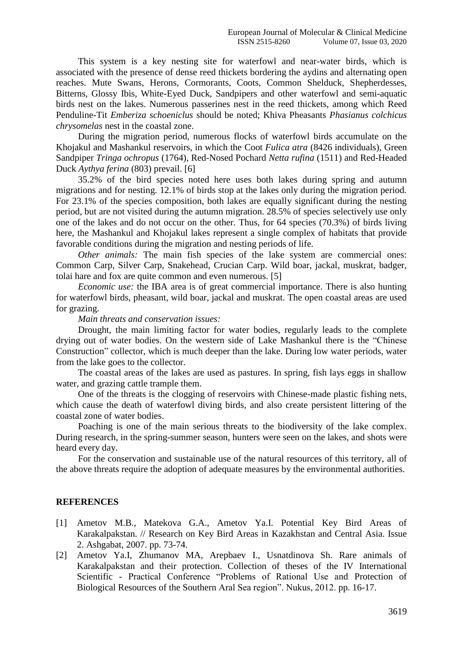This system is a key nesting site for waterfowl and near-water birds, which is associated with the presence of dense reed thickets bordering the aydins and alternating open reaches. Mute Swans, Herons, Cormorants, Coots, Common Shelduck, Shepherdesses, Bitterns, Glossy Ibis, White-Eyed Duck, Sandpipers and other waterfowl and semi-aquatic birds nest on the lakes. Numerous passerines nest in the reed thickets, among which Reed Penduline-Tit *Emberiza schoeniclus* should be noted; Khiva Pheasants *Phasianus colchicus chrysomelas* nest in the coastal zone.

During the migration period, numerous flocks of waterfowl birds accumulate on the Khojakul and Mashankul reservoirs, in which the Coot *Fulica atra* (8426 individuals), Green Sandpiper *Tringa ochropus* (1764), Red-Nosed Pochard *Netta rufina* (1511) and Red-Headed Duck *Aythya ferina* (803) prevail. [6]

35.2% of the bird species noted here uses both lakes during spring and autumn migrations and for nesting. 12.1% of birds stop at the lakes only during the migration period. For 23.1% of the species composition, both lakes are equally significant during the nesting period, but are not visited during the autumn migration. 28.5% of species selectively use only one of the lakes and do not occur on the other. Thus, for 64 species (70.3%) of birds living here, the Mashankul and Khojakul lakes represent a single complex of habitats that provide favorable conditions during the migration and nesting periods of life.

*Other animals:* The main fish species of the lake system are commercial ones: Common Carp, Silver Carp, Snakehead, Crucian Carp. Wild boar, jackal, muskrat, badger, tolai hare and fox are quite common and even numerous. [5]

*Economic use:* the IBA area is of great commercial importance. There is also hunting for waterfowl birds, pheasant, wild boar, jackal and muskrat. The open coastal areas are used for grazing.

#### *Main threats and conservation issues:*

Drought, the main limiting factor for water bodies, regularly leads to the complete drying out of water bodies. On the western side of Lake Mashankul there is the "Chinese Construction" collector, which is much deeper than the lake. During low water periods, water from the lake goes to the collector.

The coastal areas of the lakes are used as pastures. In spring, fish lays eggs in shallow water, and grazing cattle trample them.

One of the threats is the clogging of reservoirs with Chinese-made plastic fishing nets, which cause the death of waterfowl diving birds, and also create persistent littering of the coastal zone of water bodies.

Poaching is one of the main serious threats to the biodiversity of the lake complex. During research, in the spring-summer season, hunters were seen on the lakes, and shots were heard every day.

For the conservation and sustainable use of the natural resources of this territory, all of the above threats require the adoption of adequate measures by the environmental authorities.

#### **REFERENCES**

- [1] Ametov M.B., Matekova G.A., Ametov Ya.I. Potential Key Bird Areas of Karakalpakstan. // Research on Key Bird Areas in Kazakhstan and Central Asia. Issue 2. Ashgabat, 2007. pp. 73-74.
- [2] Ametov Ya.I, Zhumanov MA, Arepbaev I., Usnatdinova Sh. Rare animals of Karakalpakstan and their protection. Collection of theses of the IV International Scientific - Practical Conference "Problems of Rational Use and Protection of Biological Resources of the Southern Aral Sea region". Nukus, 2012. pp. 16-17.